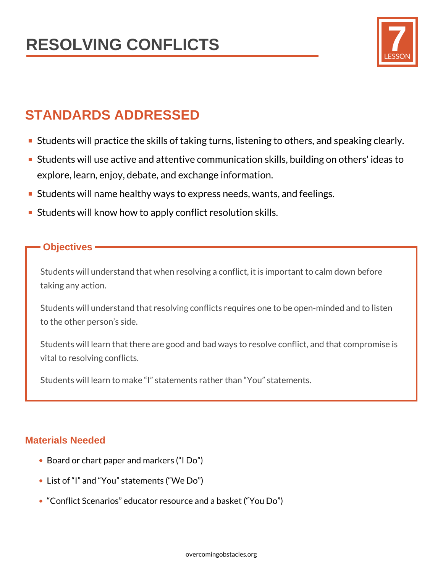

## **STANDARDS ADDRESSED**

- **Students will practice the skills of taking turns, listening to others, and speaking clearly.**
- Students will use active and attentive communication skills, building on others' ideas to explore, learn, enjoy, debate, and exchange information.
- **Students will name healthy ways to express needs, wants, and feelings.**
- **Students will know how to apply conflict resolution skills.**

### **Objectives**

Students will understand that when resolving a conflict, it is important to calm down before taking any action.

Students will understand that resolving conflicts requires one to be open-minded and to listen to the other person's side.

Students will learn that there are good and bad ways to resolve conflict, and that compromise is vital to resolving conflicts.

Students will learn to make "I" statements rather than "You" statements.

### **Materials Needed**

- Board or chart paper and markers ("I Do")
- List of "I" and "You" statements ("We Do")
- "Conflict Scenarios" educator resource and a basket ("You Do")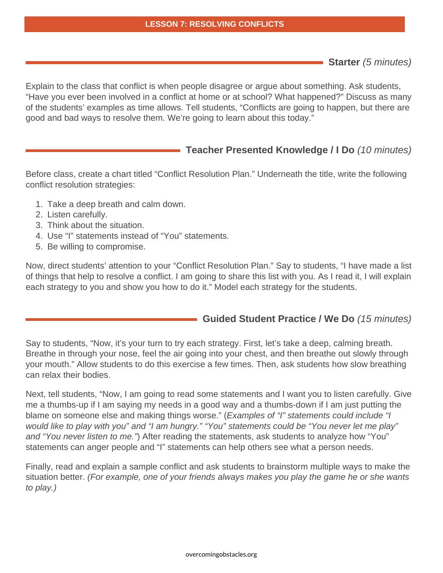#### **LESSON 7: RESOLVING CONFLICTS**

**Starter** (5 minutes)

Explain to the class that conflict is when people disagree or argue about something. Ask students, "Have you ever been involved in a conflict at home or at school? What happened?" Discuss as many of the students' examples as time allows. Tell students, "Conflicts are going to happen, but there are good and bad ways to resolve them. We're going to learn about this today."

### **Teacher Presented Knowledge / I Do** (10 minutes)

Before class, create a chart titled "Conflict Resolution Plan." Underneath the title, write the following conflict resolution strategies:

- 1. Take a deep breath and calm down.
- 2. Listen carefully.
- 3. Think about the situation.
- 4. Use "I" statements instead of "You" statements.
- 5. Be willing to compromise.

Now, direct students' attention to your "Conflict Resolution Plan." Say to students, "I have made a list of things that help to resolve a conflict. I am going to share this list with you. As I read it, I will explain each strategy to you and show you how to do it." Model each strategy for the students.

### **Guided Student Practice / We Do** (15 minutes)

Say to students, "Now, it's your turn to try each strategy. First, let's take a deep, calming breath. Breathe in through your nose, feel the air going into your chest, and then breathe out slowly through your mouth." Allow students to do this exercise a few times. Then, ask students how slow breathing can relax their bodies.

Next, tell students, "Now, I am going to read some statements and I want you to listen carefully. Give me a thumbs-up if I am saying my needs in a good way and a thumbs-down if I am just putting the blame on someone else and making things worse." (*Examples of "I" statements could include "I* would like to play with you" and "I am hungry." "You" statements could be "You never let me play" and "You never listen to me.") After reading the statements, ask students to analyze how "You" statements can anger people and "I" statements can help others see what a person needs.

Finally, read and explain a sample conflict and ask students to brainstorm multiple ways to make the situation better. (For example, one of your friends always makes you play the game he or she wants to play.)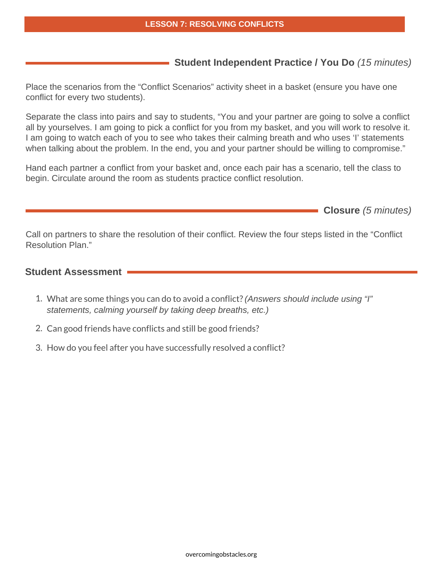### **Student Independent Practice / You Do** (15 minutes)

Place the scenarios from the "Conflict Scenarios" activity sheet in a basket (ensure you have one conflict for every two students).

Separate the class into pairs and say to students, "You and your partner are going to solve a conflict all by yourselves. I am going to pick a conflict for you from my basket, and you will work to resolve it. I am going to watch each of you to see who takes their calming breath and who uses 'I' statements when talking about the problem. In the end, you and your partner should be willing to compromise."

Hand each partner a conflict from your basket and, once each pair has a scenario, tell the class to begin. Circulate around the room as students practice conflict resolution.

**Closure** (5 minutes)

Call on partners to share the resolution of their conflict. Review the four steps listed in the "Conflict Resolution Plan."

### **Student Assessment**

- 1. What are some things you can do to avoid a conflict? (Answers should include using "I" statements, calming yourself by taking deep breaths, etc.)
- 2. Can good friends have conflicts and still be good friends?
- 3. How do you feel after you have successfully resolved a conflict?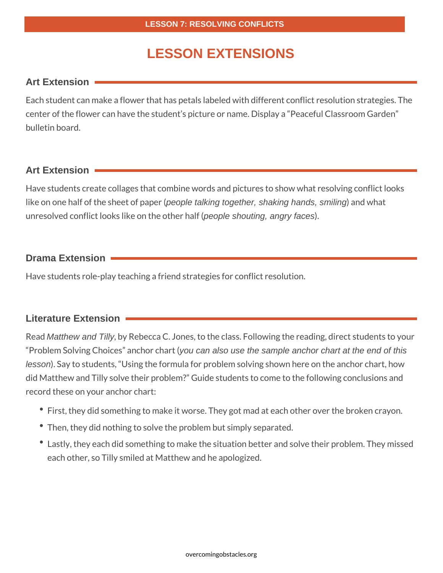### **LESSON EXTENSIONS**

### **Art Extension**

Each student can make a flower that has petals labeled with different conflict resolution strategies. The center of the flower can have the student's picture or name. Display a "Peaceful Classroom Garden" bulletin board.

### **Art Extension**

Have students create collages that combine words and pictures to show what resolving conflict looks like on one half of the sheet of paper (people talking together, shaking hands, smiling) and what unresolved conflict looks like on the other half (people shouting, angry faces).

### **Drama Extension**

Have students role-play teaching a friend strategies for conflict resolution.

### **Literature Extension**

Read Matthew and Tilly, by Rebecca C. Jones, to the class. Following the reading, direct students to your "Problem Solving Choices" anchor chart (you can also use the sample anchor chart at the end of this lesson). Say to students, "Using the formula for problem solving shown here on the anchor chart, how did Matthew and Tilly solve their problem?" Guide students to come to the following conclusions and record these on your anchor chart:

- First, they did something to make it worse. They got mad at each other over the broken crayon.
- Then, they did nothing to solve the problem but simply separated.
- Lastly, they each did something to make the situation better and solve their problem. They missed each other, so Tilly smiled at Matthew and he apologized.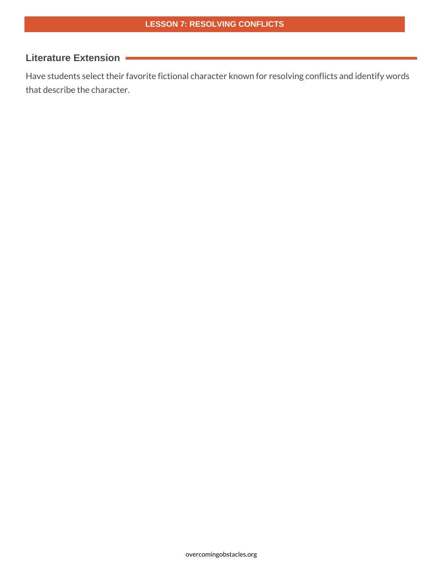### **Literature Extension**

Have students select their favorite fictional character known for resolving conflicts and identify words that describe the character.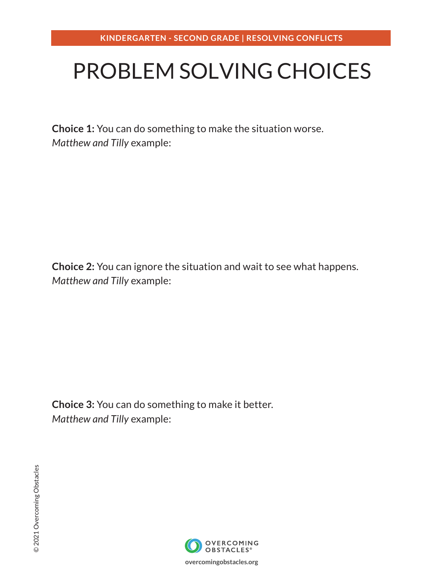## PROBLEM SOLVING CHOICES

**Choice 1:** You can do something to make the situation worse. *Matthew and Tilly* example:

**Choice 2:** You can ignore the situation and wait to see what happens. *Matthew and Tilly* example:

**Choice 3:** You can do something to make it better. *Matthew and Tilly* example:



**overcomingobstacles.org**